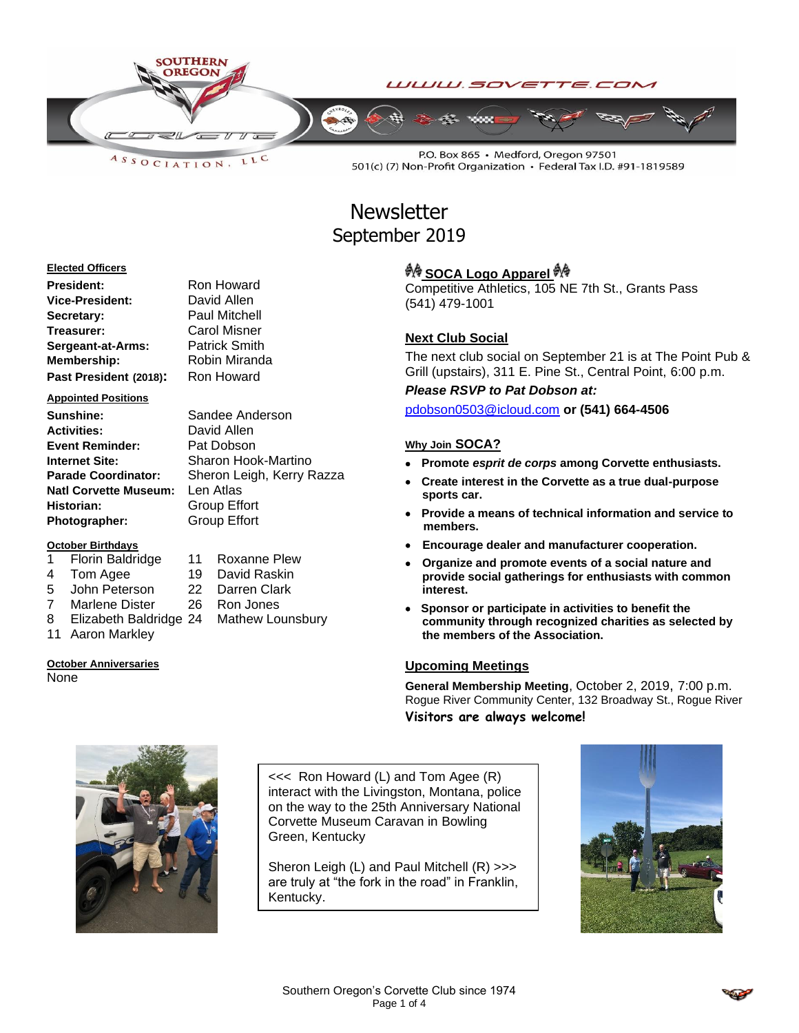

LLC  $A S S O C IAT I O N$ 

P.O. Box 865 · Medford, Oregon 97501 501(c) (7) Non-Profit Organization · Federal Tax I.D. #91-1819589

# **Newsletter** September 2019

#### **Elected Officers**

| <b>President:</b>      | Roi |
|------------------------|-----|
| <b>Vice-President:</b> | Da  |
| Secretary:             | Pa  |
| Treasurer:             | Ca  |
| Sergeant-at-Arms:      | Pat |
| <b>Membership:</b>     | Rol |
| Past President (2018): | Ro  |

#### **Appointed Positions**

**Sunshine:** Sandee Anderson **Activities:** David Allen **Event Reminder:** Pat Dobson<br> **Internet Site:** Sharon Hoo **Natl Corvette Museum:** Len Atlas **Historian:** Group Effort Photographer: Group Effort

#### **October Birthdays**

- 
- 
- 5 John Peterson 22 Darren Clark
- 7 Marlene Dister 26 Ron Jones
- 8 Elizabeth Baldridge 24 Mathew Lounsbury
- 11 Aaron Markley

### **October Anniversaries**

None

**President:** Ron Howard vid Allen **Secretary:** Paul Mitchell **Trol Misner** *<u>Irick Smith</u>* **bin Miranda Past President (2018):** Ron Howard

**Sharon Hook-Martino Parade Coordinator:** Sheron Leigh, Kerry Razza

- 1 Florin Baldridge 11 Roxanne Plew
- 4 Tom Agee 19 David Raskin
	-
	-
	-

## **A SOCA Logo Apparel**

Competitive Athletics, 105 NE 7th St., Grants Pass (541) 479-1001

### **Next Club Social**

The next club social on September 21 is at The Point Pub & Grill (upstairs), 311 E. Pine St., Central Point, 6:00 p.m.

*Please RSVP to Pat Dobson at:*

[pdobson0503@icloud.com](mailto:pdobson0503@icloud.com) **or (541) 664-4506**

### **Why Join SOCA?**

- **Promote** *esprit de corps* **among Corvette enthusiasts.**
- **Create interest in the Corvette as a true dual-purpose sports car.**
- **Provide a means of technical information and service to members.**
- **Encourage dealer and manufacturer cooperation.**
- **Organize and promote events of a social nature and provide social gatherings for enthusiasts with common interest.**
- **Sponsor or participate in activities to benefit the community through recognized charities as selected by the members of the Association.**

### **Upcoming Meetings**

**General Membership Meeting**, October 2, 2019, 7:00 p.m. Rogue River Community Center, 132 Broadway St., Rogue River **Visitors are always welcome!**



<<< Ron Howard (L) and Tom Agee (R) interact with the Livingston, Montana, police on the way to the 25th Anniversary National Corvette Museum Caravan in Bowling Green, Kentucky

Sheron Leigh (L) and Paul Mitchell (R) >>> are truly at "the fork in the road" in Franklin, Kentucky.

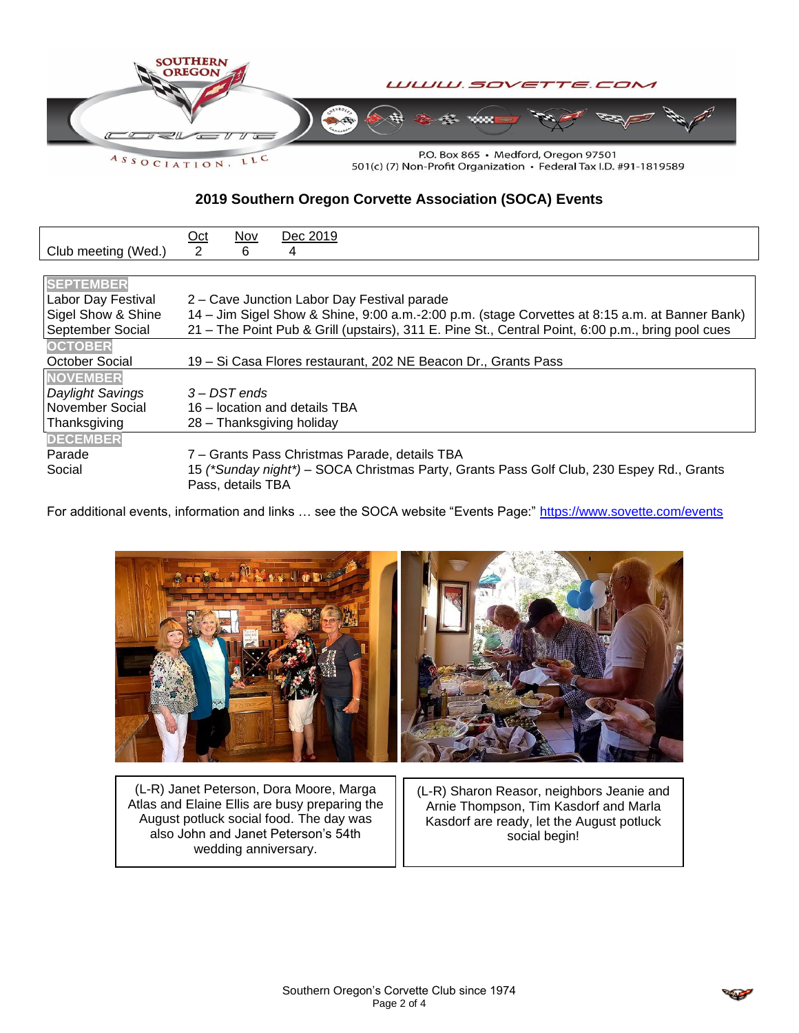

501(c) (7) Non-Profit Organization · Federal Tax I.D. #91-1819589

### **2019 Southern Oregon Corvette Association (SOCA) Events**

|                     | <u>Oct</u>                                                                                        | Nov               | Dec 2019                                                                                 |  |
|---------------------|---------------------------------------------------------------------------------------------------|-------------------|------------------------------------------------------------------------------------------|--|
| Club meeting (Wed.) | 2                                                                                                 | 6                 | 4                                                                                        |  |
|                     |                                                                                                   |                   |                                                                                          |  |
| <b>SEPTEMBER</b>    |                                                                                                   |                   |                                                                                          |  |
| Labor Day Festival  | 2 – Cave Junction Labor Day Festival parade                                                       |                   |                                                                                          |  |
| Sigel Show & Shine  | 14 - Jim Sigel Show & Shine, 9:00 a.m.-2:00 p.m. (stage Corvettes at 8:15 a.m. at Banner Bank)    |                   |                                                                                          |  |
| September Social    | 21 – The Point Pub & Grill (upstairs), 311 E. Pine St., Central Point, 6:00 p.m., bring pool cues |                   |                                                                                          |  |
| <b>OCTOBER</b>      |                                                                                                   |                   |                                                                                          |  |
| October Social      | 19 - Si Casa Flores restaurant, 202 NE Beacon Dr., Grants Pass                                    |                   |                                                                                          |  |
| <b>NOVEMBER</b>     |                                                                                                   |                   |                                                                                          |  |
| Daylight Savings    | 3 – DST ends                                                                                      |                   |                                                                                          |  |
| November Social     | 16 – location and details TBA                                                                     |                   |                                                                                          |  |
| Thanksgiving        | 28 – Thanksgiving holiday                                                                         |                   |                                                                                          |  |
| <b>DECEMBER</b>     |                                                                                                   |                   |                                                                                          |  |
| Parade              |                                                                                                   |                   | 7 – Grants Pass Christmas Parade, details TBA                                            |  |
| Social              |                                                                                                   | Pass, details TBA | 15 (*Sunday night*) – SOCA Christmas Party, Grants Pass Golf Club, 230 Espey Rd., Grants |  |

For additional events, information and links ... see the SOCA website "Events Page:"<https://www.sovette.com/events>



(L-R) Janet Peterson, Dora Moore, Marga Atlas and Elaine Ellis are busy preparing the August potluck social food. The day was also John and Janet Peterson's 54th wedding anniversary.

(L-R) Sharon Reasor, neighbors Jeanie and Arnie Thompson, Tim Kasdorf and Marla Kasdorf are ready, let the August potluck social begin!

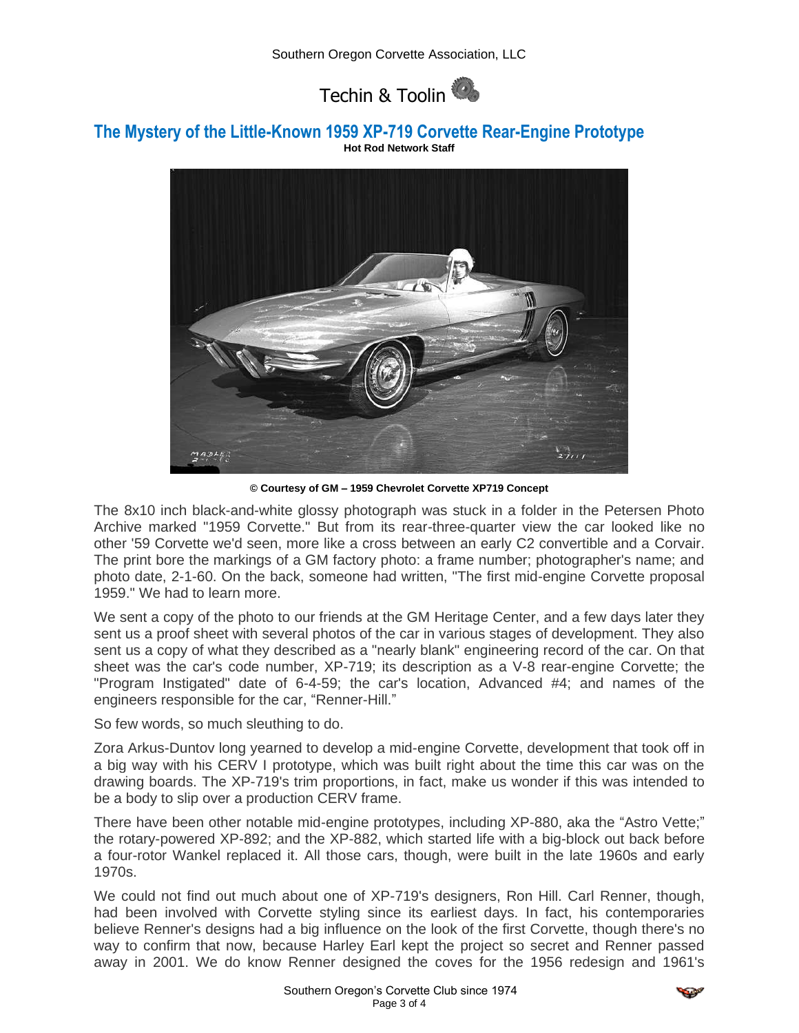

### **The Mystery of the Little-Known 1959 XP-719 Corvette Rear-Engine Prototype Hot Rod Network Staff**



**© Courtesy of GM – 1959 Chevrolet Corvette XP719 Concept**

The 8x10 inch black-and-white glossy photograph was stuck in a folder in the Petersen Photo Archive marked "1959 Corvette." But from its rear-three-quarter view the car looked like no other '59 Corvette we'd seen, more like a cross between an early C2 convertible and a Corvair. The print bore the markings of a GM factory photo: a frame number; photographer's name; and photo date, 2-1-60. On the back, someone had written, "The first mid-engine Corvette proposal 1959." We had to learn more.

We sent a copy of the photo to our friends at the GM Heritage Center, and a few days later they sent us a proof sheet with several photos of the car in various stages of development. They also sent us a copy of what they described as a "nearly blank" engineering record of the car. On that sheet was the car's code number, XP-719; its description as a V-8 rear-engine Corvette; the "Program Instigated" date of 6-4-59; the car's location, Advanced #4; and names of the engineers responsible for the car, "Renner-Hill."

So few words, so much sleuthing to do.

Zora Arkus-Duntov long yearned to develop a mid-engine Corvette, development that took off in a big way with his CERV I prototype, which was built right about the time this car was on the drawing boards. The XP-719's trim proportions, in fact, make us wonder if this was intended to be a body to slip over a production CERV frame.

There have been other notable mid-engine prototypes, including XP-880, aka the "Astro Vette;" the rotary-powered XP-892; and the XP-882, which started life with a big-block out back before a four-rotor Wankel replaced it. All those cars, though, were built in the late 1960s and early 1970s.

We could not find out much about one of XP-719's designers, Ron Hill. Carl Renner, though, had been involved with Corvette styling since its earliest days. In fact, his contemporaries believe Renner's designs had a big influence on the look of the first Corvette, though there's no way to confirm that now, because Harley Earl kept the project so secret and Renner passed away in 2001. We do know Renner designed the coves for the 1956 redesign and 1961's